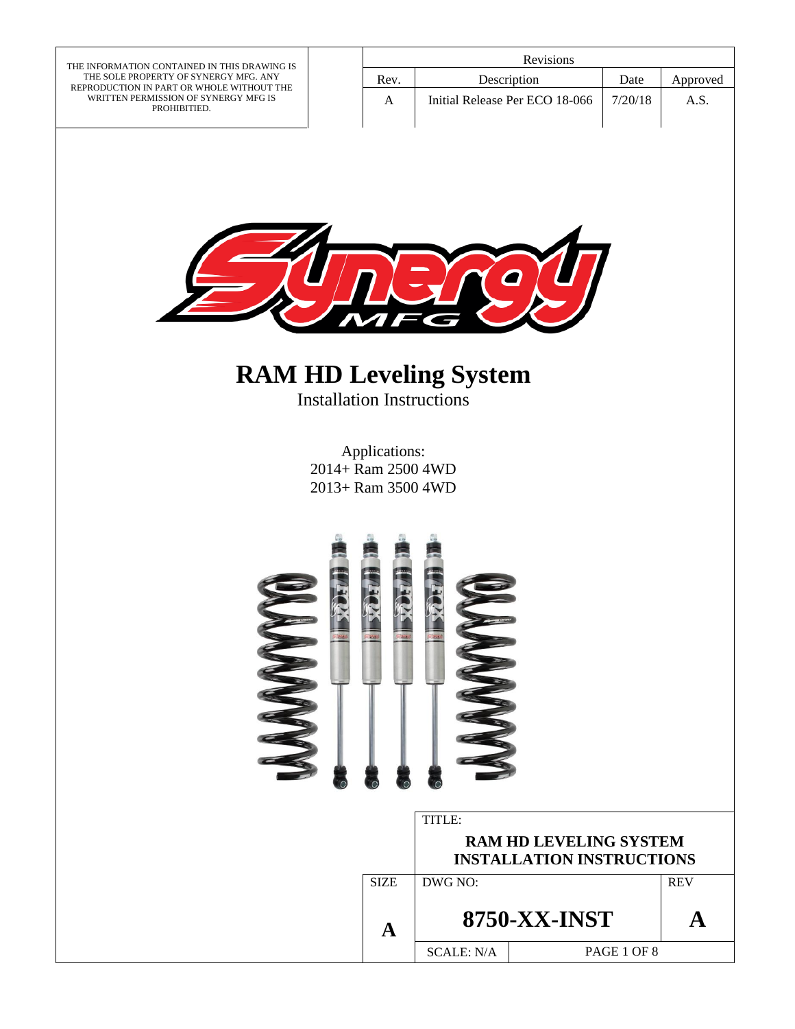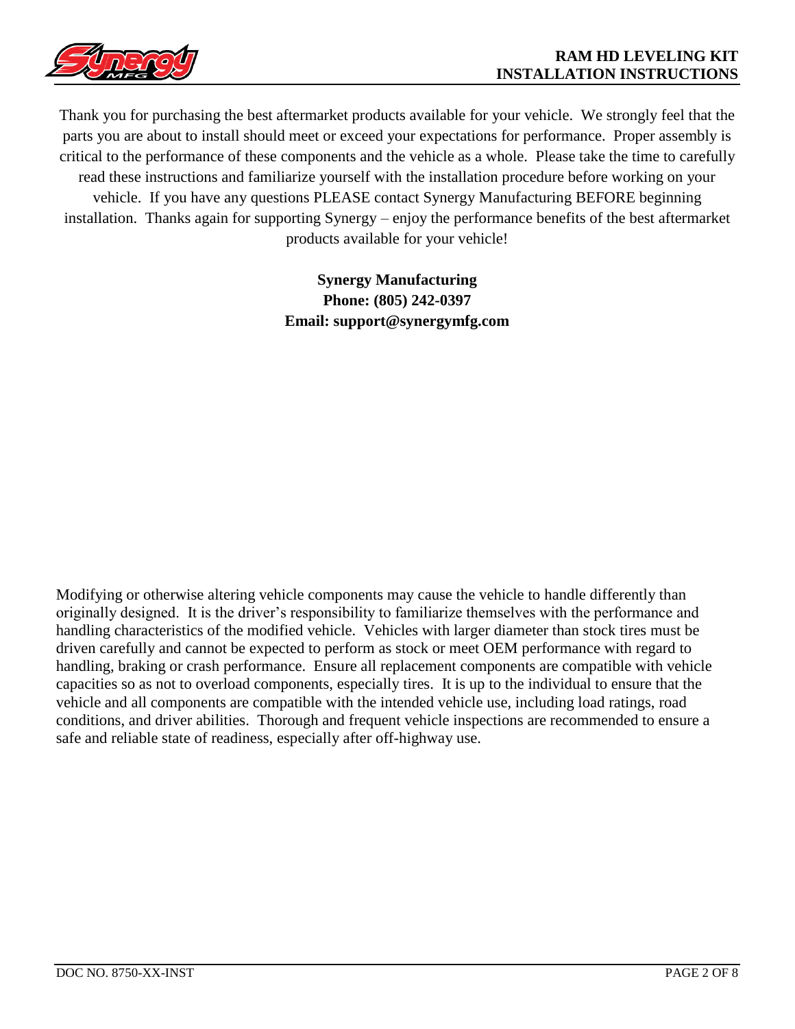

Thank you for purchasing the best aftermarket products available for your vehicle. We strongly feel that the parts you are about to install should meet or exceed your expectations for performance. Proper assembly is critical to the performance of these components and the vehicle as a whole. Please take the time to carefully read these instructions and familiarize yourself with the installation procedure before working on your vehicle. If you have any questions PLEASE contact Synergy Manufacturing BEFORE beginning installation. Thanks again for supporting Synergy – enjoy the performance benefits of the best aftermarket products available for your vehicle!

> **Synergy Manufacturing Phone: (805) 242-0397 Email: support@synergymfg.com**

Modifying or otherwise altering vehicle components may cause the vehicle to handle differently than originally designed. It is the driver's responsibility to familiarize themselves with the performance and handling characteristics of the modified vehicle. Vehicles with larger diameter than stock tires must be driven carefully and cannot be expected to perform as stock or meet OEM performance with regard to handling, braking or crash performance. Ensure all replacement components are compatible with vehicle capacities so as not to overload components, especially tires. It is up to the individual to ensure that the vehicle and all components are compatible with the intended vehicle use, including load ratings, road conditions, and driver abilities. Thorough and frequent vehicle inspections are recommended to ensure a safe and reliable state of readiness, especially after off-highway use.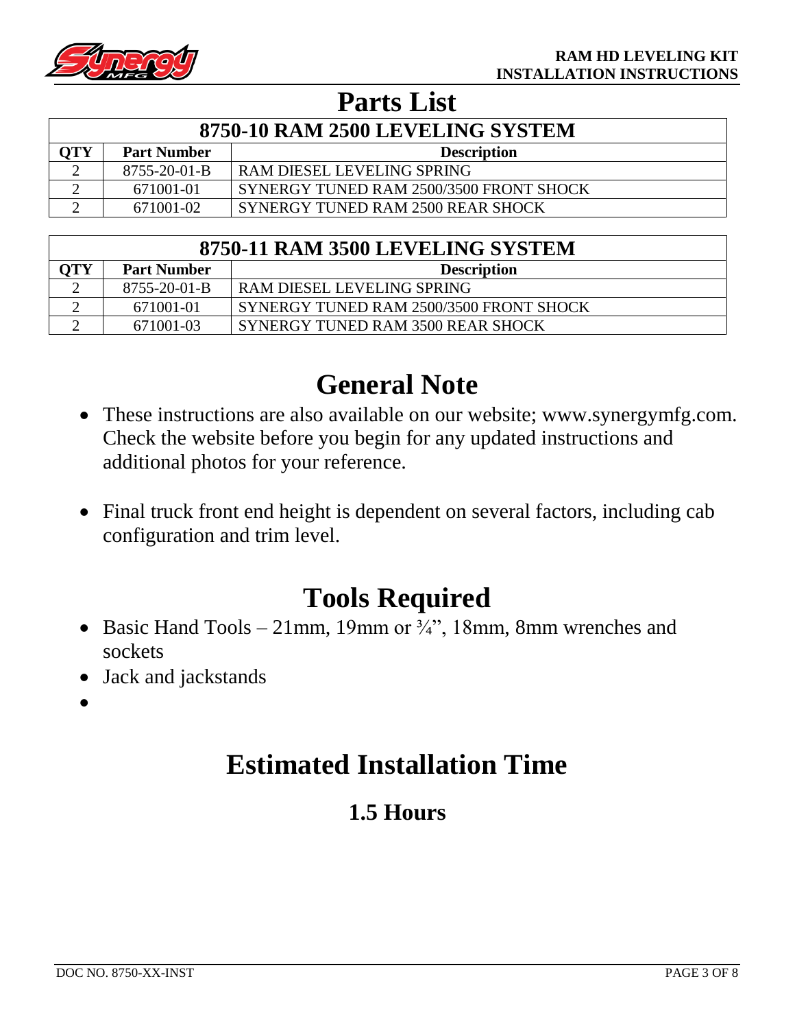

## **Parts List**

| 8750-10 RAM 2500 LEVELING SYSTEM |                    |                                         |  |
|----------------------------------|--------------------|-----------------------------------------|--|
| OTY                              | <b>Part Number</b> | <b>Description</b>                      |  |
|                                  | 8755-20-01-B       | RAM DIESEL LEVELING SPRING              |  |
|                                  | 671001-01          | SYNERGY TUNED RAM 2500/3500 FRONT SHOCK |  |
|                                  | 671001-02          | SYNERGY TUNED RAM 2500 REAR SHOCK       |  |

| 8750-11 RAM 3500 LEVELING SYSTEM |                      |                                         |  |
|----------------------------------|----------------------|-----------------------------------------|--|
| OTY                              | <b>Part Number</b>   | <b>Description</b>                      |  |
| ◠                                | $8755 - 20 - 01 - B$ | RAM DIESEL LEVELING SPRING              |  |
|                                  | 671001-01            | SYNERGY TUNED RAM 2500/3500 FRONT SHOCK |  |
|                                  | 671001-03            | SYNERGY TUNED RAM 3500 REAR SHOCK       |  |

# **General Note**

- These instructions are also available on our website; www.synergymfg.com. Check the website before you begin for any updated instructions and additional photos for your reference.
- Final truck front end height is dependent on several factors, including cab configuration and trim level.

## **Tools Required**

- Basic Hand Tools 21mm, 19mm or  $\frac{3}{4}$ , 18mm, 8mm wrenches and sockets
- Jack and jackstands
- •

# **Estimated Installation Time**

### **1.5 Hours**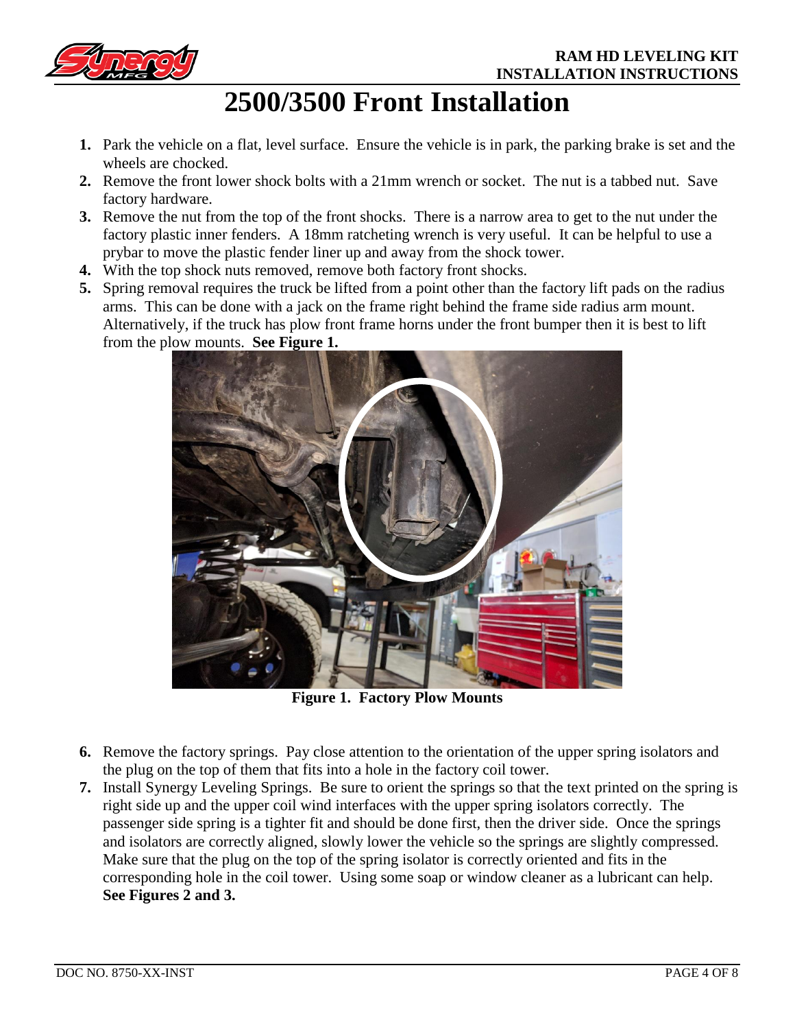

# **2500/3500 Front Installation**

- **1.** Park the vehicle on a flat, level surface. Ensure the vehicle is in park, the parking brake is set and the wheels are chocked.
- **2.** Remove the front lower shock bolts with a 21mm wrench or socket. The nut is a tabbed nut. Save factory hardware.
- **3.** Remove the nut from the top of the front shocks. There is a narrow area to get to the nut under the factory plastic inner fenders. A 18mm ratcheting wrench is very useful. It can be helpful to use a prybar to move the plastic fender liner up and away from the shock tower.
- **4.** With the top shock nuts removed, remove both factory front shocks.
- **5.** Spring removal requires the truck be lifted from a point other than the factory lift pads on the radius arms. This can be done with a jack on the frame right behind the frame side radius arm mount. Alternatively, if the truck has plow front frame horns under the front bumper then it is best to lift from the plow mounts. **See Figure 1.**



**Figure 1. Factory Plow Mounts**

- **6.** Remove the factory springs. Pay close attention to the orientation of the upper spring isolators and the plug on the top of them that fits into a hole in the factory coil tower.
- **7.** Install Synergy Leveling Springs. Be sure to orient the springs so that the text printed on the spring is right side up and the upper coil wind interfaces with the upper spring isolators correctly. The passenger side spring is a tighter fit and should be done first, then the driver side. Once the springs and isolators are correctly aligned, slowly lower the vehicle so the springs are slightly compressed. Make sure that the plug on the top of the spring isolator is correctly oriented and fits in the corresponding hole in the coil tower. Using some soap or window cleaner as a lubricant can help. **See Figures 2 and 3.**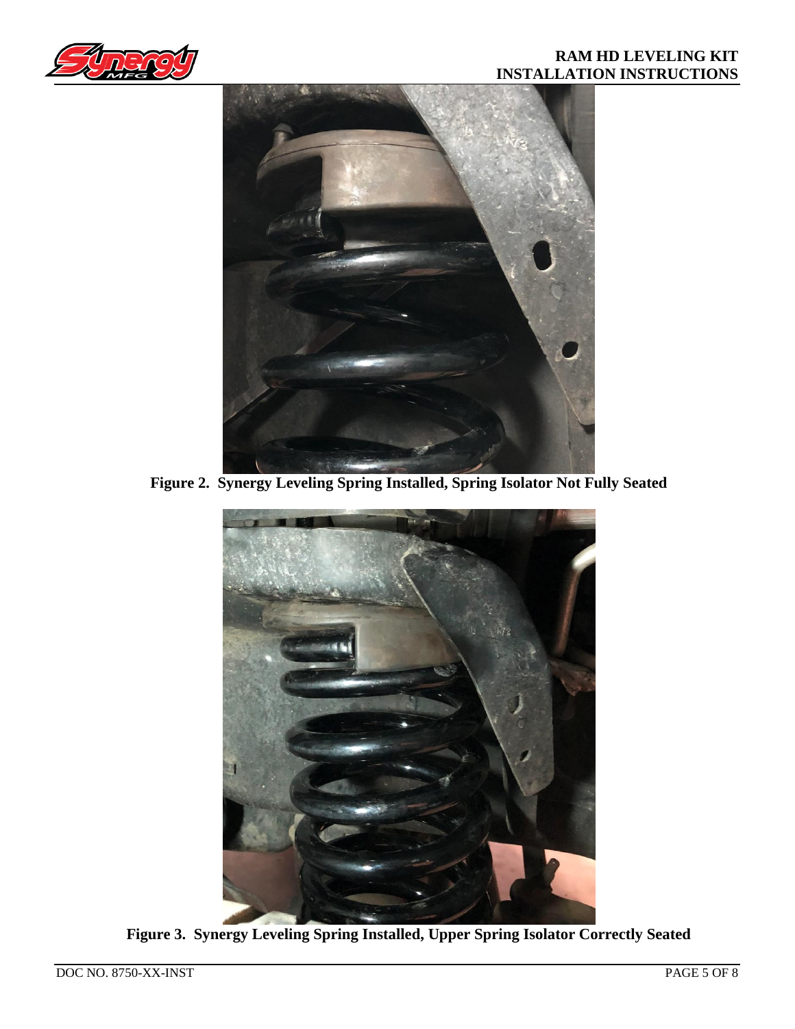



**Figure 2. Synergy Leveling Spring Installed, Spring Isolator Not Fully Seated**



**Figure 3. Synergy Leveling Spring Installed, Upper Spring Isolator Correctly Seated**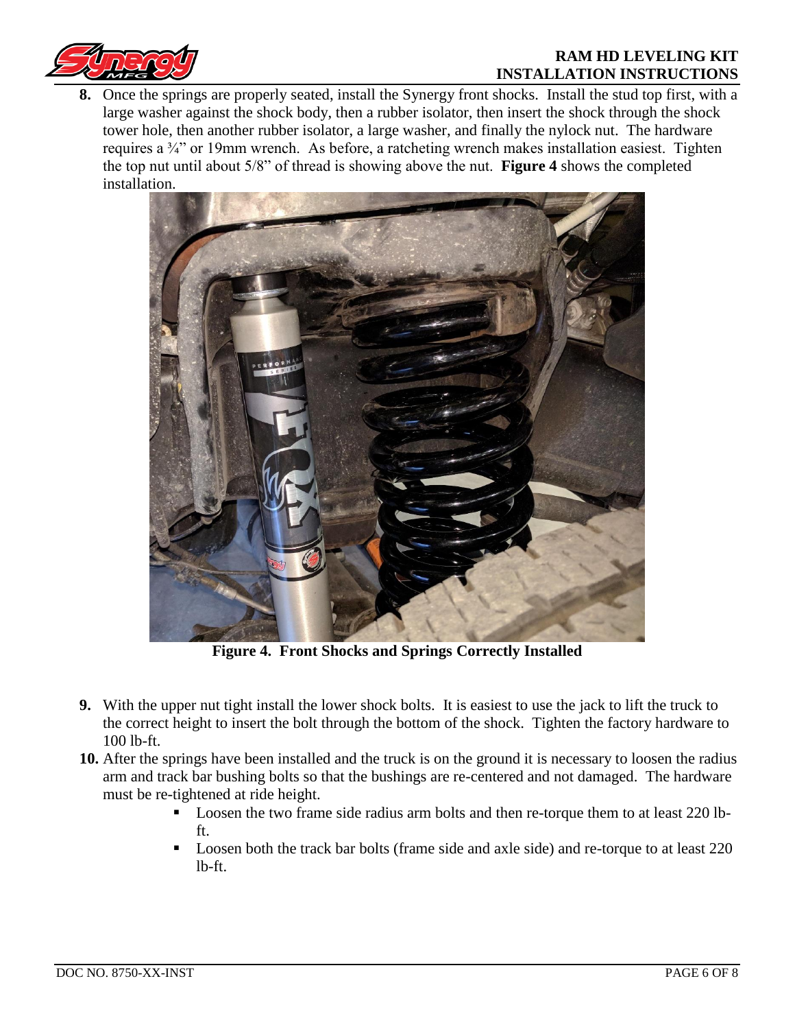



**8.** Once the springs are properly seated, install the Synergy front shocks. Install the stud top first, with a large washer against the shock body, then a rubber isolator, then insert the shock through the shock tower hole, then another rubber isolator, a large washer, and finally the nylock nut. The hardware requires a ¾" or 19mm wrench. As before, a ratcheting wrench makes installation easiest. Tighten the top nut until about 5/8" of thread is showing above the nut. **Figure 4** shows the completed installation.



**Figure 4. Front Shocks and Springs Correctly Installed**

- **9.** With the upper nut tight install the lower shock bolts. It is easiest to use the jack to lift the truck to the correct height to insert the bolt through the bottom of the shock. Tighten the factory hardware to 100 lb-ft.
- **10.** After the springs have been installed and the truck is on the ground it is necessary to loosen the radius arm and track bar bushing bolts so that the bushings are re-centered and not damaged. The hardware must be re-tightened at ride height.
	- Loosen the two frame side radius arm bolts and then re-torque them to at least 220 lbft.
	- Loosen both the track bar bolts (frame side and axle side) and re-torque to at least 220 lb-ft.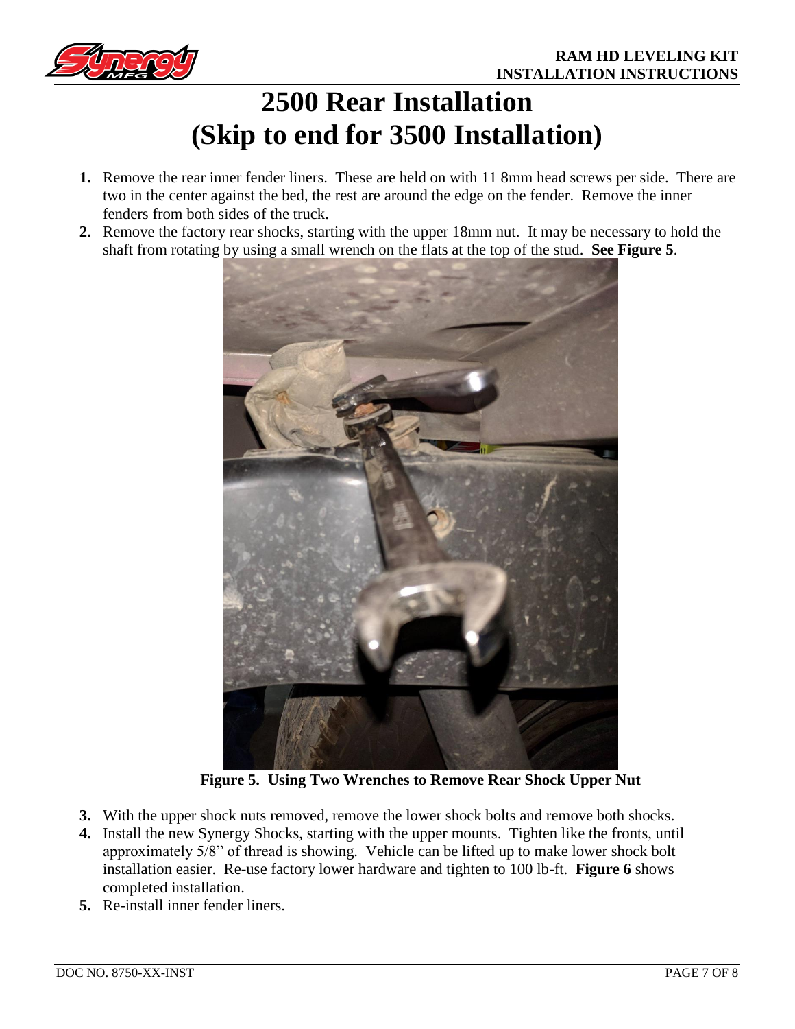

# **2500 Rear Installation (Skip to end for 3500 Installation)**

- **1.** Remove the rear inner fender liners. These are held on with 11 8mm head screws per side. There are two in the center against the bed, the rest are around the edge on the fender. Remove the inner fenders from both sides of the truck.
- **2.** Remove the factory rear shocks, starting with the upper 18mm nut. It may be necessary to hold the shaft from rotating by using a small wrench on the flats at the top of the stud. **See Figure 5**.



**Figure 5. Using Two Wrenches to Remove Rear Shock Upper Nut**

- **3.** With the upper shock nuts removed, remove the lower shock bolts and remove both shocks.
- **4.** Install the new Synergy Shocks, starting with the upper mounts. Tighten like the fronts, until approximately 5/8" of thread is showing. Vehicle can be lifted up to make lower shock bolt installation easier. Re-use factory lower hardware and tighten to 100 lb-ft. **Figure 6** shows completed installation.
- **5.** Re-install inner fender liners.